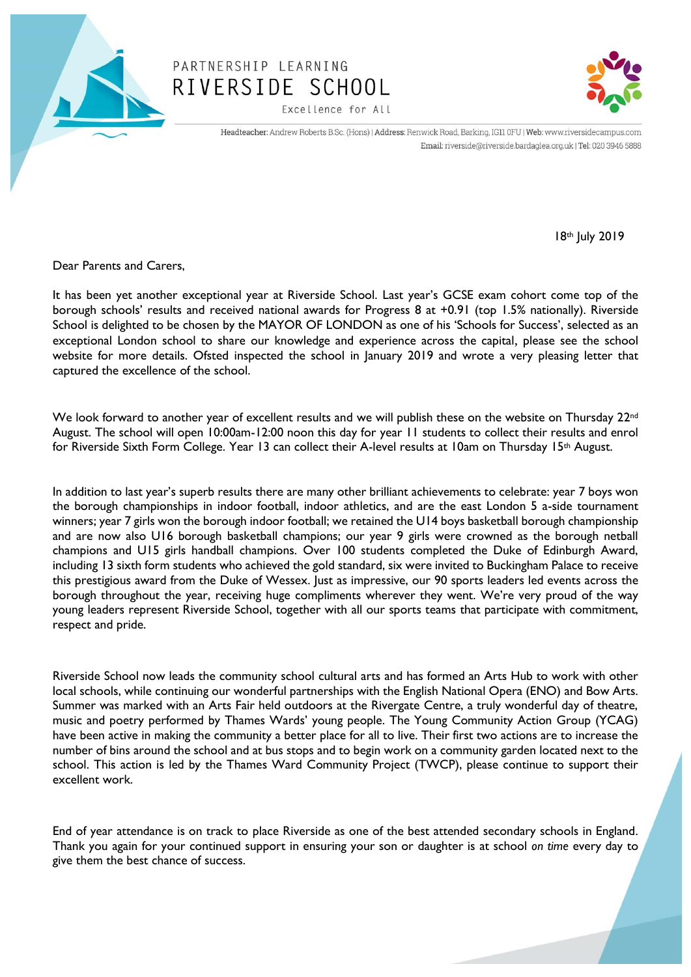

## PARTNERSHIP LEARNING RIVERSIDE SCHOOL Excellence for All



Headteacher: Andrew Roberts B.Sc. (Hons) | Address: Renwick Road, Barking, IG11 0FU | Web: www.riversidecampus.com Email: riverside@riverside.bardaglea.org.uk | Tel: 020 3946 5888

18th July 2019

Dear Parents and Carers,

It has been yet another exceptional year at Riverside School. Last year's GCSE exam cohort come top of the borough schools' results and received national awards for Progress 8 at +0.91 (top 1.5% nationally). Riverside School is delighted to be chosen by the MAYOR OF LONDON as one of his 'Schools for Success', selected as an exceptional London school to share our knowledge and experience across the capital, please see the school website for more details. Ofsted inspected the school in January 2019 and wrote a very pleasing letter that captured the excellence of the school.

We look forward to another year of excellent results and we will publish these on the website on Thursday 22<sup>nd</sup> August. The school will open 10:00am-12:00 noon this day for year 11 students to collect their results and enrol for Riverside Sixth Form College. Year 13 can collect their A-level results at 10am on Thursday 15th August.

In addition to last year's superb results there are many other brilliant achievements to celebrate: year 7 boys won the borough championships in indoor football, indoor athletics, and are the east London 5 a-side tournament winners; year 7 girls won the borough indoor football; we retained the U14 boys basketball borough championship and are now also U16 borough basketball champions; our year 9 girls were crowned as the borough netball champions and U15 girls handball champions. Over 100 students completed the Duke of Edinburgh Award, including 13 sixth form students who achieved the gold standard, six were invited to Buckingham Palace to receive this prestigious award from the Duke of Wessex. Just as impressive, our 90 sports leaders led events across the borough throughout the year, receiving huge compliments wherever they went. We're very proud of the way young leaders represent Riverside School, together with all our sports teams that participate with commitment, respect and pride.

Riverside School now leads the community school cultural arts and has formed an Arts Hub to work with other local schools, while continuing our wonderful partnerships with the English National Opera (ENO) and Bow Arts. Summer was marked with an Arts Fair held outdoors at the Rivergate Centre, a truly wonderful day of theatre, music and poetry performed by Thames Wards' young people. The Young Community Action Group (YCAG) have been active in making the community a better place for all to live. Their first two actions are to increase the number of bins around the school and at bus stops and to begin work on a community garden located next to the school. This action is led by the Thames Ward Community Project (TWCP), please continue to support their excellent work.

End of year attendance is on track to place Riverside as one of the best attended secondary schools in England. Thank you again for your continued support in ensuring your son or daughter is at school *on time* every day to give them the best chance of success.